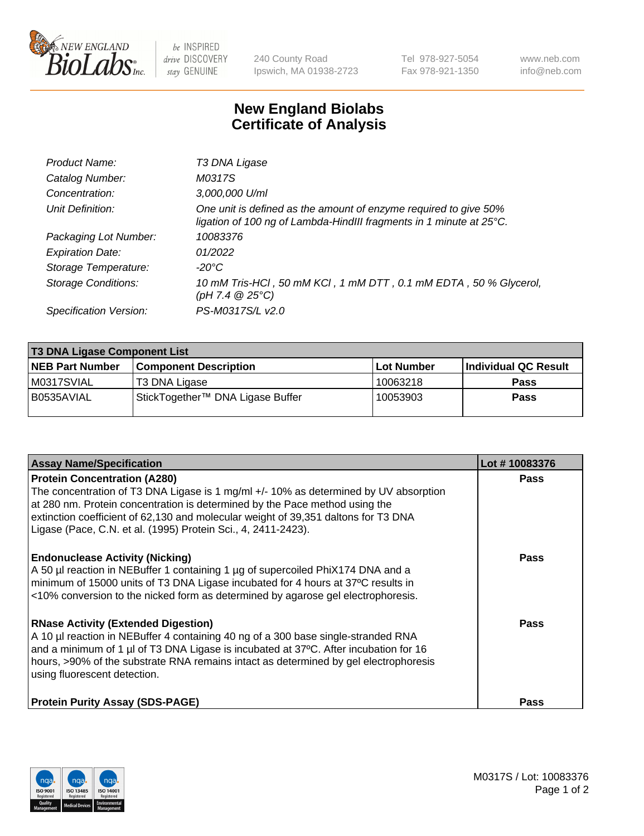

 $be$  INSPIRED drive DISCOVERY stay GENUINE

240 County Road Ipswich, MA 01938-2723 Tel 978-927-5054 Fax 978-921-1350 www.neb.com info@neb.com

## **New England Biolabs Certificate of Analysis**

| Product Name:              | T3 DNA Ligase                                                                                                                           |
|----------------------------|-----------------------------------------------------------------------------------------------------------------------------------------|
| Catalog Number:            | M0317S                                                                                                                                  |
| Concentration:             | 3,000,000 U/ml                                                                                                                          |
| Unit Definition:           | One unit is defined as the amount of enzyme required to give 50%<br>ligation of 100 ng of Lambda-HindIII fragments in 1 minute at 25°C. |
| Packaging Lot Number:      | 10083376                                                                                                                                |
| <b>Expiration Date:</b>    | 01/2022                                                                                                                                 |
| Storage Temperature:       | -20°C                                                                                                                                   |
| <b>Storage Conditions:</b> | 10 mM Tris-HCl, 50 mM KCl, 1 mM DTT, 0.1 mM EDTA, 50 % Glycerol,<br>(pH 7.4 $@25°C$ )                                                   |
| Specification Version:     | PS-M0317S/L v2.0                                                                                                                        |

| <b>T3 DNA Ligase Component List</b> |                                  |            |                      |  |  |
|-------------------------------------|----------------------------------|------------|----------------------|--|--|
| <b>NEB Part Number</b>              | <b>Component Description</b>     | Lot Number | Individual QC Result |  |  |
| M0317SVIAL                          | T3 DNA Ligase                    | 10063218   | <b>Pass</b>          |  |  |
| B0535AVIAL                          | StickTogether™ DNA Ligase Buffer | 10053903   | Pass                 |  |  |

| <b>Assay Name/Specification</b>                                                                                                                                                                                                                                                                                                                                   | Lot #10083376 |
|-------------------------------------------------------------------------------------------------------------------------------------------------------------------------------------------------------------------------------------------------------------------------------------------------------------------------------------------------------------------|---------------|
| <b>Protein Concentration (A280)</b><br>The concentration of T3 DNA Ligase is 1 mg/ml +/- 10% as determined by UV absorption<br>at 280 nm. Protein concentration is determined by the Pace method using the<br>extinction coefficient of 62,130 and molecular weight of 39,351 daltons for T3 DNA<br>Ligase (Pace, C.N. et al. (1995) Protein Sci., 4, 2411-2423). | <b>Pass</b>   |
| <b>Endonuclease Activity (Nicking)</b><br>A 50 µl reaction in NEBuffer 1 containing 1 µg of supercoiled PhiX174 DNA and a<br>minimum of 15000 units of T3 DNA Ligase incubated for 4 hours at 37°C results in<br><10% conversion to the nicked form as determined by agarose gel electrophoresis.                                                                 | <b>Pass</b>   |
| <b>RNase Activity (Extended Digestion)</b><br>A 10 µl reaction in NEBuffer 4 containing 40 ng of a 300 base single-stranded RNA<br>and a minimum of 1 µl of T3 DNA Ligase is incubated at 37 $\degree$ C. After incubation for 16<br>hours, >90% of the substrate RNA remains intact as determined by gel electrophoresis<br>using fluorescent detection.         | <b>Pass</b>   |
| <b>Protein Purity Assay (SDS-PAGE)</b>                                                                                                                                                                                                                                                                                                                            | <b>Pass</b>   |